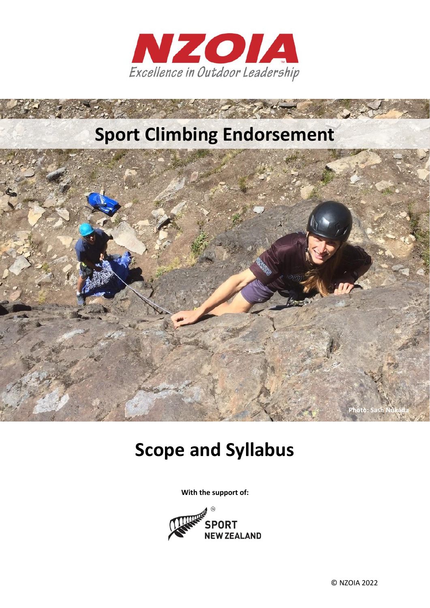

# **Sport Climbing Endorsement**



# **Scope and Syllabus**

**With the support of:**

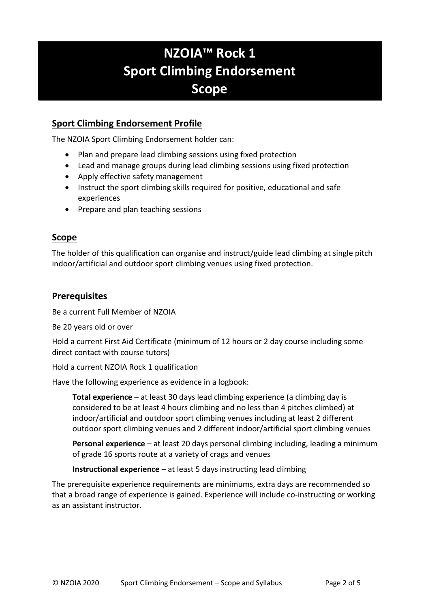# **NZOIA™ Rock 1 Sport Climbing Endorsement Scope**

### **Sport Climbing Endorsement Profile**

The NZOIA Sport Climbing Endorsement holder can:

- Plan and prepare lead climbing sessions using fixed protection
- Lead and manage groups during lead climbing sessions using fixed protection
- Apply effective safety management
- Instruct the sport climbing skills required for positive, educational and safe experiences
- Prepare and plan teaching sessions

### **Scope**

The holder of this qualification can organise and instruct/guide lead climbing at single pitch indoor/artificial and outdoor sport climbing venues using fixed protection.

### **Prerequisites**

Be a current Full Member of NZOIA

Be 20 years old or over

Hold a current First Aid Certificate (minimum of 12 hours or 2 day course including some direct contact with course tutors)

Hold a current NZOIA Rock 1 qualification

Have the following experience as evidence in a logbook:

**Total experience** – at least 30 days lead climbing experience (a climbing day is considered to be at least 4 hours climbing and no less than 4 pitches climbed) at indoor/artificial and outdoor sport climbing venues including at least 2 different outdoor sport climbing venues and 2 different indoor/artificial sport climbing venues

**Personal experience** – at least 20 days personal climbing including, leading a minimum of grade 16 sports route at a variety of crags and venues

**Instructional experience** – at least 5 days instructing lead climbing

The prerequisite experience requirements are minimums, extra days are recommended so that a broad range of experience is gained. Experience will include co-instructing or working as an assistant instructor.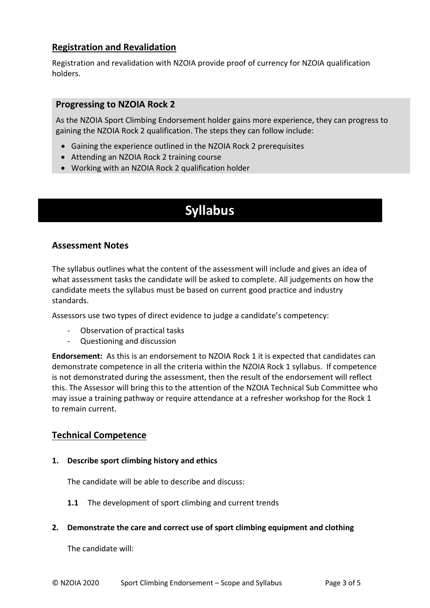### **Registration and Revalidation**

Registration and revalidation with NZOIA provide proof of currency for NZOIA qualification holders.

### **Progressing to NZOIA Rock 2**

As the NZOIA Sport Climbing Endorsement holder gains more experience, they can progress to gaining the NZOIA Rock 2 qualification. The steps they can follow include:

- Gaining the experience outlined in the NZOIA Rock 2 prerequisites
- Attending an NZOIA Rock 2 training course
- Working with an NZOIA Rock 2 qualification holder

## **Syllabus**

### **Assessment Notes**

The syllabus outlines what the content of the assessment will include and gives an idea of what assessment tasks the candidate will be asked to complete. All judgements on how the candidate meets the syllabus must be based on current good practice and industry standards.

Assessors use two types of direct evidence to judge a candidate's competency:

- Observation of practical tasks
- Questioning and discussion

**Endorsement:** As this is an endorsement to NZOIA Rock 1 it is expected that candidates can demonstrate competence in all the criteria within the NZOIA Rock 1 syllabus. If competence is not demonstrated during the assessment, then the result of the endorsement will reflect this. The Assessor will bring this to the attention of the NZOIA Technical Sub Committee who may issue a training pathway or require attendance at a refresher workshop for the Rock 1 to remain current.

### **Technical Competence**

**1. Describe sport climbing history and ethics** 

The candidate will be able to describe and discuss:

- **1.1** The development of sport climbing and current trends
- **2. Demonstrate the care and correct use of sport climbing equipment and clothing**

The candidate will: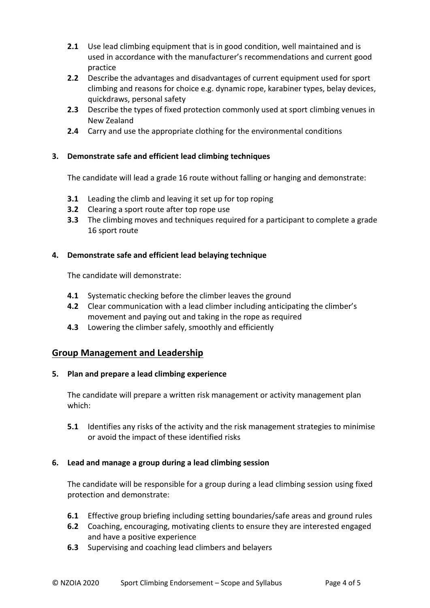- **2.1** Use lead climbing equipment that is in good condition, well maintained and is used in accordance with the manufacturer's recommendations and current good practice
- **2.2** Describe the advantages and disadvantages of current equipment used for sport climbing and reasons for choice e.g. dynamic rope, karabiner types, belay devices, quickdraws, personal safety
- **2.3** Describe the types of fixed protection commonly used at sport climbing venues in New Zealand
- **2.4** Carry and use the appropriate clothing for the environmental conditions

### **3. Demonstrate safe and efficient lead climbing techniques**

The candidate will lead a grade 16 route without falling or hanging and demonstrate:

- **3.1** Leading the climb and leaving it set up for top roping
- **3.2** Clearing a sport route after top rope use
- **3.3** The climbing moves and techniques required for a participant to complete a grade 16 sport route

### **4. Demonstrate safe and efficient lead belaying technique**

The candidate will demonstrate:

- **4.1** Systematic checking before the climber leaves the ground
- **4.2** Clear communication with a lead climber including anticipating the climber's movement and paying out and taking in the rope as required
- **4.3** Lowering the climber safely, smoothly and efficiently

### **Group Management and Leadership**

### **5. Plan and prepare a lead climbing experience**

The candidate will prepare a written risk management or activity management plan which:

**5.1** Identifies any risks of the activity and the risk management strategies to minimise or avoid the impact of these identified risks

### **6. Lead and manage a group during a lead climbing session**

The candidate will be responsible for a group during a lead climbing session using fixed protection and demonstrate:

- **6.1** Effective group briefing including setting boundaries/safe areas and ground rules
- **6.2** Coaching, encouraging, motivating clients to ensure they are interested engaged and have a positive experience
- **6.3** Supervising and coaching lead climbers and belayers